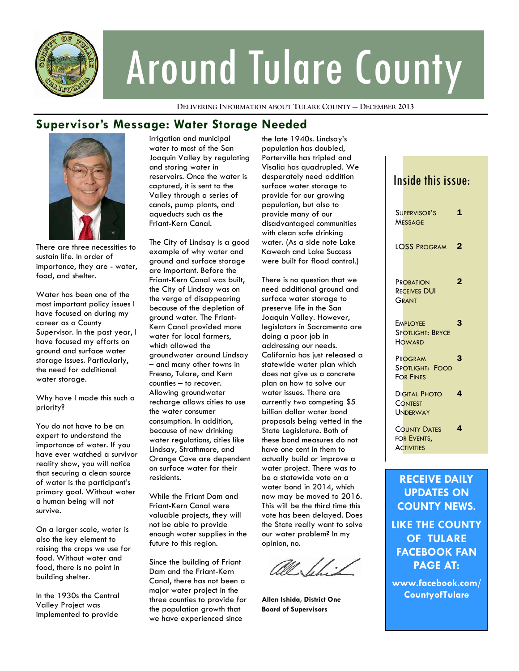

# Around Tulare County

**DELIVERING INFORMATION ABOUT TULARE COUNTY — DECEMBER 2013**

## **Supervisor's Message: Water Storage Needed**



There are three necessities to sustain life. In order of importance, they are - water, food, and shelter.

Water has been one of the most important policy issues I have focused on during my career as a County Supervisor. In the past year, I have focused my efforts on ground and surface water storage issues. Particularly, the need for additional water storage.

Why have I made this such a priority?

You do not have to be an expert to understand the importance of water. If you have ever watched a survivor reality show, you will notice that securing a clean source of water is the participant's primary goal. Without water a human being will not survive.

On a larger scale, water is also the key element to raising the crops we use for food. Without water and food, there is no point in building shelter.

In the 1930s the Central Valley Project was implemented to provide

irrigation and municipal water to most of the San Joaquin Valley by regulating and storing water in reservoirs. Once the water is captured, it is sent to the Valley through a series of canals, pump plants, and aqueducts such as the Friant-Kern Canal.

The City of Lindsay is a good example of why water and ground and surface storage are important. Before the Friant-Kern Canal was built, the City of Lindsay was on the verge of disappearing because of the depletion of ground water. The Friant-Kern Canal provided more water for local farmers, which allowed the groundwater around Lindsay – and many other towns in Fresno, Tulare, and Kern counties – to recover. Allowing groundwater recharge allows cities to use the water consumer consumption. In addition, because of new drinking water regulations, cities like Lindsay, Strathmore, and Orange Cove are dependent on surface water for their residents.

While the Friant Dam and Friant-Kern Canal were valuable projects, they will not be able to provide enough water supplies in the future to this region.

Since the building of Friant Dam and the Friant-Kern Canal, there has not been a major water project in the three counties to provide for the population growth that we have experienced since

the late 1940s. Lindsay's population has doubled, Porterville has tripled and Visalia has quadrupled. We desperately need addition surface water storage to provide for our growing population, but also to provide many of our disadvantaged communities with clean safe drinking water. (As a side note Lake Kaweah and Lake Success were built for flood control.)

There is no question that we need additional ground and surface water storage to preserve life in the San Joaquin Valley. However, legislators in Sacramento are doing a poor job in addressing our needs. California has just released a statewide water plan which does not give us a concrete plan on how to solve our water issues. There are currently two competing \$5 billion dollar water bond proposals being vetted in the State Legislature. Both of these bond measures do not have one cent in them to actually build or improve a water project. There was to be a statewide vote on a water bond in 2014, which now may be moved to 2016. This will be the third time this vote has been delayed. Does the State really want to solve our water problem? In my opinion, no.

741 . [.]

**Allen Ishida, District One Board of Supervisors** 

## Inside this issue: SUPERVISOR'S **MESSAGE** 1 LOSS PROGRAM 2 **PROBATION** RECEIVES DUI GRANT 2 **EMPLOYEE** SPOTLIGHT: BRYCE **HOWARD** 3 PROGRAM SPOTLIGHT: FOOD FOR FINES 3 DIGITAL PHOTO **CONTEST** UNDERWAY 4 COUNTY DATES FOR EVENTS, **ACTIVITIES** 4 **RECEIVE DAILY**

**UPDATES ON COUNTY NEWS. LIKE THE COUNTY OF TULARE FACEBOOK FAN PAGE AT:** 

**www.facebook.com/ CountyofTulare**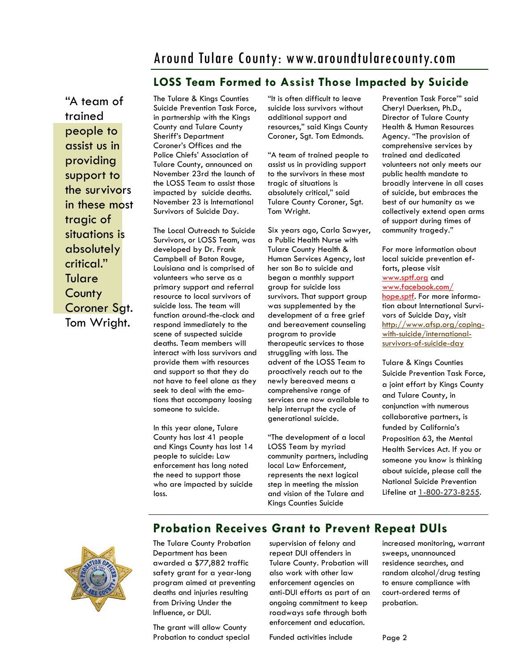# Around Tulare County: www.aroundtularecounty.com

## **LOSS Team Formed to Assist Those Impacted by Suicide**

"A team of trained people to assist us in providing support to the survivors in these most tragic of situations is absolutely critical." **Tulare County** Coroner Sat. Tom Wright.

The Tulare & Kings Counties Suicide Prevention Task Force, in partnership with the Kings County and Tulare County Sheriff's Department Coroner's Offices and the Police Chiefs' Association of Tulare County, announced on November 23rd the launch of the LOSS Team to assist those impacted by suicide deaths. November 23 is International Survivors of Suicide Day.

The Local Outreach to Suicide Survivors, or LOSS Team, was developed by Dr. Frank Campbell of Baton Rouge, Louisiana and is comprised of volunteers who serve as a primary support and referral resource to local survivors of suicide loss. The team will function around-the-clock and respond immediately to the scene of suspected suicide deaths. Team members will interact with loss survivors and provide them with resources and support so that they do not have to feel alone as they seek to deal with the emotions that accompany loosing someone to suicide.

In this year alone, Tulare County has lost 41 people and Kings County has lost 14 people to suicide: Law enforcement has long noted the need to support those who are impacted by suicide loss.

"It is often difficult to leave suicide loss survivors without additional support and resources," said Kings County Coroner, Sgt. Tom Edmonds.

"A team of trained people to assist us in providing support to the survivors in these most tragic of situations is absolutely critical," said Tulare County Coroner, Sgt. Tom Wright.

Six years ago, Carla Sawyer, a Public Health Nurse with Tulare County Health & Human Services Agency, lost her son Bo to suicide and began a monthly support group for suicide loss survivors. That support group was supplemented by the development of a free grief and bereavement counseling program to provide therapeutic services to those struggling with loss. The advent of the LOSS Team to proactively reach out to the newly bereaved means a comprehensive range of services are now available to help interrupt the cycle of generational suicide.

"The development of a local LOSS Team by myriad community partners, including local Law Enforcement, represents the next logical step in meeting the mission and vision of the Tulare and Kings Counties Suicide

Prevention Task Force'" said Cheryl Duerksen, Ph.D., Director of Tulare County Health & Human Resources Agency. "The provision of comprehensive services by trained and dedicated volunteers not only meets our public health mandate to broadly intervene in all cases of suicide, but embraces the best of our humanity as we collectively extend open arms of support during times of community tragedy."

For more information about local suicide prevention efforts, please visit www.sptf.org and www.facebook.com/ hope.sptf. For more information about International Survivors of Suicide Day, visit http://www.afsp.org/copingwith-suicide/internationalsurvivors-of-suicide-day

Tulare & Kings Counties Suicide Prevention Task Force, a joint effort by Kings County and Tulare County, in conjunction with numerous collaborative partners, is funded by California's Proposition 63, the Mental Health Services Act. If you or someone you know is thinking about suicide, please call the National Suicide Prevention Lifeline at 1-800-273-8255.

## **Probation Receives Grant to Prevent Repeat DUIs**



The Tulare County Probation Department has been awarded a \$77,882 traffic safety grant for a year-long program aimed at preventing deaths and injuries resulting from Driving Under the Influence, or DUI.

The grant will allow County Probation to conduct special supervision of felony and repeat DUI offenders in Tulare County. Probation will also work with other law enforcement agencies on anti-DUI efforts as part of an ongoing commitment to keep roadways safe through both enforcement and education.

Funded activities include

increased monitoring, warrant sweeps, unannounced residence searches, and random alcohol/drug testing to ensure compliance with court-ordered terms of probation.

Page 2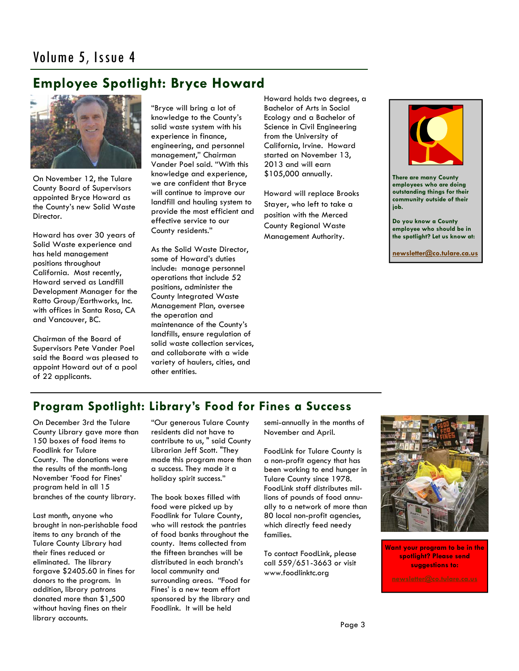# **Employee Spotlight: Bryce Howard**



On November 12, the Tulare County Board of Supervisors appointed Bryce Howard as the County's new Solid Waste Director.

Howard has over 30 years of Solid Waste experience and has held management positions throughout California. Most recently, Howard served as Landfill Development Manager for the Ratto Group/Earthworks, Inc. with offices in Santa Rosa, CA and Vancouver, BC.

Chairman of the Board of Supervisors Pete Vander Poel said the Board was pleased to appoint Howard out of a pool of 22 applicants.

"Bryce will bring a lot of knowledge to the County's solid waste system with his experience in finance, engineering, and personnel management," Chairman Vander Poel said. "With this knowledge and experience, we are confident that Bryce will continue to improve our landfill and hauling system to provide the most efficient and effective service to our County residents."

As the Solid Waste Director, some of Howard's duties include: manage personnel operations that include 52 positions, administer the County Integrated Waste Management Plan, oversee the operation and maintenance of the County's landfills, ensure regulation of solid waste collection services, and collaborate with a wide variety of haulers, cities, and other entities.

Howard holds two degrees, a Bachelor of Arts in Social Ecology and a Bachelor of Science in Civil Engineering from the University of California, Irvine. Howard started on November 13, 2013 and will earn \$105,000 annually.

Howard will replace Brooks Stayer, who left to take a position with the Merced County Regional Waste Management Authority.



**There are many County employees who are doing outstanding things for their community outside of their job.** 

**Do you know a County employee who should be in the spotlight? Let us know at:** 

**newsletter@co.tulare.ca.us**

## **Program Spotlight: Library's Food for Fines a Success**

On December 3rd the Tulare County Library gave more than 150 boxes of food items to Foodlink for Tulare County. The donations were the results of the month-long November 'Food for Fines' program held in all 15 branches of the county library.

Last month, anyone who brought in non-perishable food items to any branch of the Tulare County Library had their fines reduced or eliminated. The library forgave \$2405.60 in fines for donors to the program. In addition, library patrons donated more than \$1,500 without having fines on their library accounts.

"Our generous Tulare County residents did not have to contribute to us, " said County Librarian Jeff Scott. "They made this program more than a success. They made it a holiday spirit success."

The book boxes filled with food were picked up by Foodlink for Tulare County, who will restock the pantries of food banks throughout the county. Items collected from the fifteen branches will be distributed in each branch's local community and surrounding areas. "Food for Fines' is a new team effort sponsored by the library and Foodlink. It will be held

semi-annually in the months of November and April.

FoodLink for Tulare County is a non-profit agency that has been working to end hunger in Tulare County since 1978. FoodLink staff distributes millions of pounds of food annually to a network of more than 80 local non-profit agencies, which directly feed needy families.

To contact FoodLink, please call 559/651-3663 or visit www.foodlinktc.org



**Want your program to be in the spotlight? Please send suggestions to:**